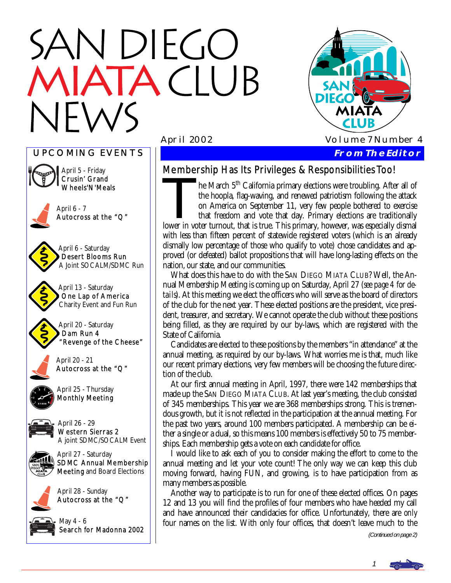# N DIEGO **TACIUB**



UPCOMING EVENTS April 25 - Thursday Monthly Meeting May 4 - 6 Search for Madonna 2002 April 27 - Saturday SDMC Annual Membership Meeting and Board Elections April 6 - 7 Autocross at the "Q" April 5 - Friday Crusin' Grand Wheels'N'Meals April 13 - Saturday One Lap of America Charity Event and Fun Run April 20 - Saturday Dam Run 4 "Revenge of the Cheese" April 20 - 21 Autocross at the "Q" April 26 - 29 Western Sierras 2 A joint SDMC/SOCALM Event April 28 - Sunday Autocross at the "Q" April 6 - Saturday Desert Blooms Run A Joint SOCALM/SDMC Run

# Membership Has Its Privileges & Responsibilities Too!

he March 5<sup>th</sup> California primary elections were troubling. After all of the hoopla, flag-waving, and renewed patriotism following the attack on America on September 11, very few people bothered to exercise that freedom and vote that day. Primary elections are traditionally lower in voter turnout, that is true. This primary, however, was especially dismal with less than fifteen percent of statewide registered voters (which is an already dismally low percentage of those who qualify to vote) chose candidates and approved (or defeated) ballot propositions that will have long-lasting effects on the nation, our state, and our communities.

 What does this have to do with the SAN DIEGO MIATA CLUB? Well, the Annual Membership Meeting is coming up on Saturday, April 27 (*see page 4 for details*). At this meeting we elect the officers who will serve as the board of directors of the club for the next year. These elected positions are the president, vice president, treasurer, and secretary. We cannot operate the club without these positions being filled, as they are required by our by-laws, which are registered with the State of California.

 Candidates are elected to these positions by the members "in attendance" at the annual meeting, as required by our by-laws. What worries me is that, much like our recent primary elections, very few members will be choosing the future direction of the club.

 At our first annual meeting in April, 1997, there were 142 memberships that made up the SAN DIEGO MIATA CLUB. At last year's meeting, the club consisted of 345 memberships. This year we are 368 memberships strong. This is tremendous growth, but it is not reflected in the participation at the annual meeting. For the past two years, around 100 members participated. A membership can be either a single or a dual, so this means 100 members is effectively 50 to 75 memberships. Each membership gets a vote on each candidate for office.

 I would like to ask each of you to consider making the effort to come to the annual meeting and let your vote count! The only way we can keep this club moving forward, having FUN, and growing, is to have participation from as many members as possible.

 Another way to participate is to run for one of these elected offices. On pages 12 and 13 you will find the profiles of four members who have heeded my call and have announced their candidacies for office. Unfortunately, there are *only* four names on the list. With only four offices, that doesn't leave much to the

(Continued on page 2)

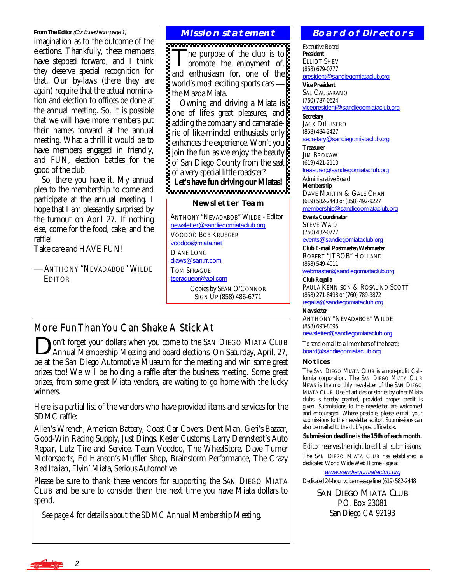#### **From The Editor (Continued from page 1)**

imagination as to the outcome of the elections. Thankfully, these members have stepped forward, and I think they deserve special recognition for that. Our by-laws (there they are again) require that the actual nomination and election to offices be done at the annual meeting. So, it is possible that we will have more members put their names forward at the annual meeting. What a thrill it would be to have members engaged in friendly, and FUN, election battles for the good of the club!

 So, there you have it. My annual plea to the membership to come and participate at the annual meeting. I hope that I am pleasantly surprised by the turnout on April 27. If nothing else, come for the food, cake, and the raffle!

Take care and HAVE FUN!

 ANTHONY "NEVADABOB" WILDE **EDITOR** 

#### **Mission statement**

The purpose of the club is to<br>promote the enjoyment of, and enthusiasm for, one of the world's most exciting sports cars the Mazda Miata.

 Owning and driving a Miata is one of life's great pleasures, and adding the company and camaraderie of like-minded enthusiasts only enhances the experience. Won't you join the fun as we enjoy the beauty of San Diego County from the seat of a very special little roadster? **Let's have fun driving our Miatas!** 

#### **Newsletter Team**

ANTHONY "NEVADABOB" WILDE - Editor [newsletter@sandiegomiataclub.org](mailto:newsletter@sandiegomiataclub.org) VOODOO BOB KRUEGER [voodoo@miata.net](mailto:voodoo@miata.net) DIANE LONG [djaws@san.rr.com](mailto:djaws@san.rr.com) TOM SPRAGUE [tspraguepr@aol.com](mailto:tspraguepr@aol.com) Copies by SEAN O'CONNOR SIGN UP (858) 486-6771

# More Fun Than You Can Shake A Stick At

on't forget your dollars when you come to the SAN DIEGO MIATA CLUB Annual Membership Meeting and board elections. On Saturday, April, 27, be at the San Diego Automotive Museum for the meeting and win some great prizes too! We will be holding a raffle after the business meeting. Some great prizes, from some great Miata vendors, are waiting to go home with the lucky winners.

Here is a partial list of the vendors who have provided items and services for the SDMC raffle:

Allen's Wrench, American Battery, Coast Car Covers, Dent Man, Geri's Bazaar, Good-Win Racing Supply, Just Dings, Kesler Customs, Larry Dennstedt's Auto Repair, Lutz Tire and Service, Team Voodoo, The WheelStore, Dave Turner Motorsports, Ed Hanson's Muffler Shop, Brainstorm Performance, The Crazy Red Italian, Flyin' Miata, Serious Automotive.

Please be sure to thank these vendors for supporting the SAN DIEGO MIATA CLUB and be sure to consider them the next time you have Miata dollars to spend.

 *See page 4 for details about the SDMC Annual Membership Meeting.* 

#### **Board of Directors**

Executive Board **President**  ELLIOT SHEV (858) 679-0777 [president@sandiegomiataclub.org](mailto:president@sandiegomiataclub.org) **Vice President** 

SAL CAUSARANO (760) 787-0624 [vicepresident@sandiegomiataclub.org](mailto:vicepresident@sandiegomiataclub.org)

**Secretary**  JACK DILUSTRO (858) 484-2427 [secretary@sandiegomiataclub.org](mailto:secretary@sandiegomiataclub.org)

**Treasurer JIM BROKAW** (619) 421-2110

[treasurer@sandiegomiataclub.org](mailto:treasurer@sandiegomiataclub.org) Administrative Board

**Membership**  DAVE MARTIN & GALE CHAN (619) 582-2448 or (858) 492-9227 [membership@sandiegomiataclub.org](mailto:membership@sandiegomiataclub.org)

**Events Coordinator**  STEVE WAID (760) 432-0727

[events@sandiegomiataclub.org](mailto:events@sandiegomiataclub.org) **Club E-mail Postmaster/Webmaster** 

ROBERT "JTBOB" HOLLAND (858) 549-4011 [webmaster@sandiegomiataclub.org](mailto:webmaster@sandiegomiataclub.org)

**Club Regalia**  PAULA KENNISON & ROSALIND SCOTT (858) 271-8498 or (760) 789-3872 [regalia@sandiegomiataclub.org](mailto:regalia@sandiegomiataclub.org)

**Newsletter**  ANTHONY "NEVADABOB" WILDE

(858) 693-8095 [newsletter@sandiegomiataclub.org](mailto:newsletter@sandiegomiataclub.org)

To send e-mail to all members of the board: [board@sandiegomiataclub.org](mailto:board@sandiegomiataclub.org)

#### **Notices**

The SAN DIEGO MIATA CLUB is a non-profit California corporation. The *SAN DIEGO MIATA CLUB NEWS* is the monthly newsletter of the SAN DIEGO MIATA CLUB. Use of articles or stories by other Miata clubs is hereby granted, provided proper credit is given. Submissions to the newsletter are welcomed and encouraged. Where possible, please e-mail your submissions to the newsletter editor. Submissions can also be mailed to the club's post office box.

**Submission deadline is the 15th of each month.** 

*Editor reserves the right to edit all submissions.*

The SAN DIEGO MIATA CLUB has established a dedicated World Wide Web Home Page at:

[www.sandiegomiataclub.org](http://www.sandiegomiataclub.org)

Dedicated 24-hour voice message line: (619) 582-2448

SAN DIEGO MIATA CLUB P.O. Box 23081 San Diego CA 92193

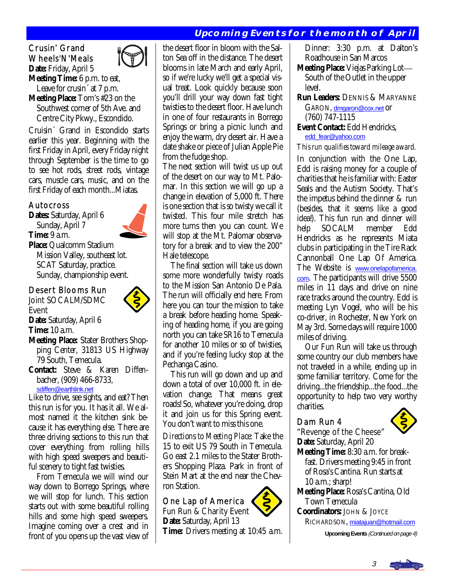# **Upcoming Events for the month of April**

# Crusin' Grand Wheels'N'Meals



Cruisin´ Grand in Escondido starts earlier this year. Beginning with the first Friday in April, every Friday night through September is the time to go to see hot rods, street rods, vintage cars, muscle cars, music, and on the first Friday of each month...Miatas.

#### Autocross

**Dates:** Saturday, April 6 Sunday, April 7 **Time:** 9 a.m. **Place:** Qualcomm Stadium Mission Valley, southeast lot. SCAT Saturday, practice. Sunday, championship event.

#### Desert Blooms Run

Joint SOCALM/SDMC Event



**Time:** 10 a.m.

- **Meeting Place:** Stater Brothers Shop ping Center, 31813 US Highway 79 South, Temecula.
- **Contact:** Steve & Karen Diffen bacher, (909) 466-8733, [sdiffen@earthlink.net](mailto:sdiffen@earthlink.net)

Like to drive, see sights, and eat? Then this run is for you. It has it all. We almost named it the kitchen sink because it has everything else. There are three driving sections to this run that cover everything from rolling hills with high speed sweepers and beautiful scenery to tight fast twisties.

 From Temecula we will wind our way down to Borrego Springs, where we will stop for lunch. This section starts out with some beautiful rolling hills and some high speed sweepers. Imagine coming over a crest and in front of you opens up the vast view of the desert floor in bloom with the Salton Sea off in the distance. The desert blooms in late March and early April, so if we're lucky we'll get a special visual treat. Look quickly because soon you'll drill your way down fast tight twisties to the desert floor. Have lunch in one of four restaurants in Borrego Springs or bring a picnic lunch and enjoy the warm, dry desert air. Have a date shake or piece of Julian Apple Pie from the fudge shop.

The next section will twist us up out of the desert on our way to Mt. Palomar. In this section we will go up a change in elevation of 5,000 ft. There is one section that is so twisty we call it twisted. This four mile stretch has more turns then you can count. We will stop at the Mt. Palomar observatory for a break and to view the 200" Hale telescope.

 The final section will take us down some more wonderfully twisty roads to the Mission San Antonio De Pala. The run will officially end here. From here you can tour the mission to take a break before heading home. Speaking of heading home, if you are going north you can take SR16 to Temecula for another 10 miles or so of twisties, and if you're feeling lucky stop at the Pechanga Casino.

 This run will go down and up and down a total of over 10,000 ft. in elevation change. That means great roads! So, whatever you're doing, drop it and join us for this Spring event. You don't want to miss this one.

*Directions to Meeting Place:* Take the 15 to exit US 79 South in Temecula. Go east 2.1 miles to the Stater Brothers Shopping Plaza. Park in front of Stein Mart at the end near the Chevron Station.

### One Lap of America

Fun Run & Charity Event **Date:** Saturday, April 13 **Time:** Drivers meeting at 10:45 a.m.  Dinner: 3:30 p.m. at Dalton's Roadhouse in San Marcos

- **Meeting Place:** Viejas Parking Lot South of the Outlet in the upper level.
- **Run Leaders:** DENNIS & MARYANNE GARON, [dmgaron@cox.net](mailto:dmgaron@cox.net) or

#### (760) 747-1115 **Event Contact:** Edd Hendricks, [edd\\_fear@yahoo.com](mailto:edd_fear@yahoo.com)

#### *This run qualifies toward mileage award.*

In conjunction with the One Lap, Edd is raising money for a couple of charities that he is familiar with: Easter Seals and the Autism Society. That's the impetus behind the dinner & run (besides, that it seems like a good idea!). This fun run and dinner will help SOCALM member Edd Hendricks as he represents Miata clubs in participating in the Tire Rack Cannonball One Lap Of America. The Website is [www.onelapofamerica.](http://www.onelapofamerica.com) [com](http://www.onelapofamerica.com). The participants will drive 5500 miles in 11 days and drive on nine race tracks around the country. Edd is meeting Lyn Vogel, who will be his co-driver, in Rochester, New York on May 3rd. Some days will require 1000 miles of driving.

 Our Fun Run will take us through some country our club members have not traveled in a while, ending up in some familiar territory. Come for the driving...the friendship...the food...the opportunity to help two very worthy charities.

#### Dam Run 4



"Revenge of the Cheese" **Date:** Saturday, April 20 **Meeting Time:** 8:30 a.m. for break fast. Drivers meeting 9:45 in front of Rosa's Cantina. Run starts at 10 a.m.; sharp! **Meeting Place:** Rosa's Cantina, Old Town Temecula

**Coordinators:** JOHN & JOYCE RICHARDSON, [miatajuan@hotmail.com](mailto:miatajuan@hotmail.com)

**Upcoming Events** (Continued on page 4)



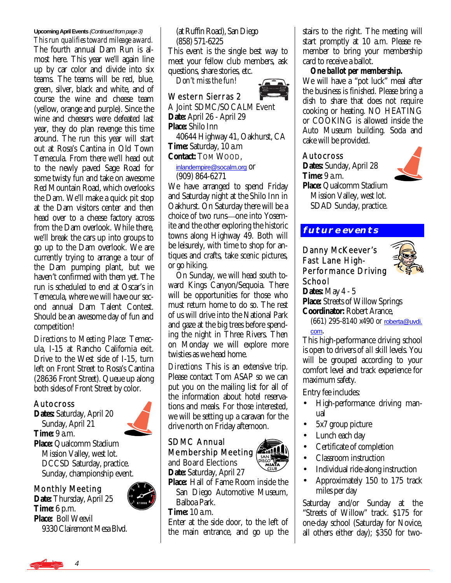**Upcoming April Events** (Continued from page 3) *This run qualifies toward mileage award.* The fourth annual Dam Run is almost here. This year we'll again line up by car color and divide into six teams. The teams will be red, blue, green, silver, black and white, and of course the wine and cheese team (yellow, orange and purple). Since the wine and cheesers were defeated last year, they do plan revenge this time around. The run this year will start out at Rosa's Cantina in Old Town Temecula. From there we'll head out to the newly paved Sage Road for some twisty fun and take on awesome Red Mountain Road, which overlooks the Dam. We'll make a quick pit stop at the Dam visitors center and then head over to a cheese factory across from the Dam overlook. While there, we'll break the cars up into groups to go up to the Dam overlook. We are currently trying to arrange a tour of the Dam pumping plant, but we haven't confirmed with them yet. The run is scheduled to end at Oscar's in Temecula, where we will have our second annual Dam Talent Contest. Should be an awesome day of fun and competition!

*Directions to Meeting Place:* Temecula, I-15 at Rancho California exit. Drive to the West side of I-15, turn left on Front Street to Rosa's Cantina (28636 Front Street). Queue up along both sides of Front Street by color.

#### Autocross

**Dates:** Saturday, April 20 Sunday, April 21 **Time:** 9 a.m. **Place:** Qualcomm Stadium Mission Valley, west lot. DCCSD Saturday, practice. Sunday, championship event.

Monthly Meeting

**Date:** Thursday, April 25 **Time:** 6 p.m. **Place:** Boll Weevil 9330 Clairemont Mesa Blvd.  (at Ruffin Road), San Diego (858) 571-6225

This event is the single best way to meet your fellow club members, ask questions, share stories, etc.

*Don't miss the fun!* 

# Western Sierras 2

A Joint SDMC/SOCALM Event **Date:** April 26 - April 29 **Place:** Shilo Inn 40644 Highway 41, Oakhurst, CA **Time:** Saturday, 10 a.m **Contact:** TOM WOOD,

 [inlandempire@socalm.org](mailto:inlandempire@socalm.org) or (909) 864-6271

We have arranged to spend Friday and Saturday night at the Shilo Inn in Oakhurst. On Saturday there will be a choice of two runs-one into Yosemite and the other exploring the historic towns along Highway 49. Both will be leisurely, with time to shop for antiques and crafts, take scenic pictures, or go hiking.

 On Sunday, we will head south toward Kings Canyon/Sequoia. There will be opportunities for those who must return home to do so. The rest of us will drive into the National Park and gaze at the big trees before spending the night in Three Rivers. Then on Monday we will explore more twisties as we head home.

*Directions:* This is an extensive trip. Please contact Tom ASAP so we can put you on the mailing list for all of the information about hotel reservations and meals. For those interested, we will be setting up a caravan for the drive north on Friday afternoon. Ì

#### SDMC Annual Membership Meeting

and Board Elections **Date:** Saturday, April 27

**Place:** Hall of Fame Room inside the San Diego Automotive Museum, Balboa Park.

**Time:** 10 a.m.

Enter at the side door, to the left of the main entrance, and go up the

stairs to the right. The meeting will start promptly at 10 a.m. Please remember to bring your membership card to receive a ballot.

#### *One ballot per membership.*

We will have a "pot luck" meal after the business is finished. Please bring a dish to share that does not require cooking or heating. NO HEATING or COOKING is allowed inside the Auto Museum building. Soda and cake will be provided.

#### Autocross

**Dates:** Sunday, April 28 **Time:** 9 a.m. **Place:** Qualcomm Stadium Mission Valley, west lot. SDAD Sunday, practice.



#### Danny McKeever's Fast Lane High-Performance Driving School



**Dates:** May 4 - 5 **Place:** Streets of Willow Springs **Coordinator:** Robert Arance,

 (661) 295-8140 x490 or [roberta@uvdi.](mailto:roberta@uvdi.com) [com](mailto:roberta@uvdi.com).

This high-performance driving school is open to drivers of *all* skill levels. You will be grouped according to your comfort level and track experience for maximum safety.

Entry fee includes:

- High-performance driving manual
- 5x7 group picture
- Lunch each day
- Certificate of completion
- Classroom instruction
- Individual ride-along instruction
- Approximately 150 to 175 track miles per day

Saturday and/or Sunday at the "Streets of Willow" track. \$175 for one-day school (Saturday for Novice, all others either day); \$350 for two-







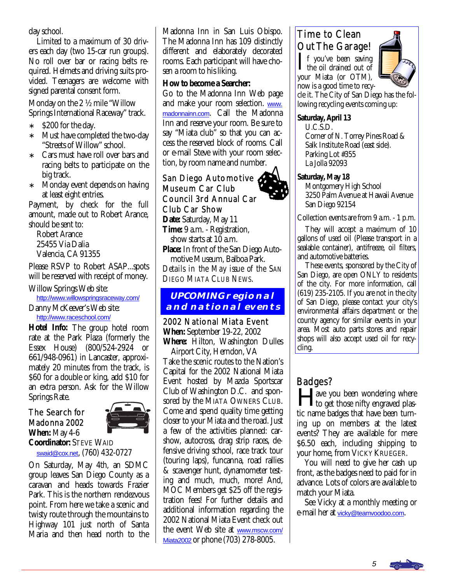day school.

 Limited to a maximum of 30 drivers each day (two 15-car run groups). No roll over bar or racing belts required. Helmets and driving suits provided. Teenagers are welcome with signed parental consent form.

Monday on the 2 ½ mile "Willow Springs International Raceway" track.

- ∗ \$200 for the day.
- ∗ Must have completed the two-day "Streets of Willow" school.
- Cars must have roll over bars and racing belts to participate on the big track.
- ∗ Monday event depends on having at least eight entries.

Payment, by check for the full amount, made out to Robert Arance, should be sent to:

 Robert Arance 25455 Via Dalia Valencia, CA 91355

Please RSVP to Robert ASAP...spots will be reserved with receipt of money.

Willow Springs Web site:

[http://www.willowspringsraceway.com/](http://www.willowspringsraceway.com)

Danny McKeever's Web site: [http://www.raceschool.com/](http://www.raceschool.com)

**Hotel Info:** The group hotel room rate at the Park Plaza (formerly the Essex House) (800/524-2924 or 661/948-0961) in Lancaster, approximately 20 minutes from the track, is \$60 for a double or king, add \$10 for an extra person. Ask for the Willow Springs Rate.

#### The Search for Madonna 2002 **When:** May 4-6



**Coordinator:** STEVE WAID [swaid@cox.net](mailto:swaid@cox.net), (760) 432-0727

On Saturday, May 4th, an SDMC group leaves San Diego County as a caravan and heads towards Frazier Park. This is the northern rendezvous point. From here we take a scenic and twisty route through the mountains to Highway 101 just north of Santa Maria and then head north to the Madonna Inn in San Luis Obispo. The Madonna Inn has 109 distinctly different and elaborately decorated rooms. Each participant will have chosen a room to his liking.

#### **How to become a Searcher:**

Go to the Madonna Inn Web page and make your room selection. [www.](http://www.madonnainn.com) [madonnainn.com](http://www.madonnainn.com). Call the Madonna Inn and reserve your room. Be sure to say "Miata club" so that you can access the reserved block of rooms. Call or e-mail Steve with your room selection, by room name and number. Ī

# San Diego Automotive 6 Museum Car Club Council 3rd Annual Car Club Car Show

**Date:** Saturday, May 11 **Time:** 9 a.m. - Registration, show starts at 10 a.m. **Place:** In front of the San Diego Auto motive Museum, Balboa Park. *Details in the May issue of the SAN*

*DIEGO MIATA CLUB NEWS.* 

#### **UPCOMING regional and national events**

2002 National Miata Event **When:** September 19-22, 2002 **Where:** Hilton, Washington Dulles

 Airport City, Herndon, VA Take the scenic routes to the Nation's Capital for the 2002 National Miata Event hosted by Mazda Sportscar Club of Washington D.C. and sponsored by the MIATA OWNERS CLUB. Come and spend quality time getting closer to your Miata and the road. Just a few of the activities planned: carshow, autocross, drag strip races, defensive driving school, race track tour (touring laps), funcanna, road rallies & scavenger hunt, dynamometer testing and much, much, more! And, MOC Members get \$25 off the registration fees! For further details and additional information regarding the 2002 National Miata Event check out the event Web site at [www.mscw.com/](http://www.mscw.com/Miata2002) [Miata2002](http://www.mscw.com/Miata2002) or phone (703) 278-8005.

# Time to Clean Out The Garage!

 $\prod$  f you've been saving<br>the oil drained out of your Miata (or OTM), now is a good time to recy-



cle it. The City of San Diego has the following recycling events coming up:

#### **Saturday, April 13**

 U.C.S.D. Corner of N. Torrey Pines Road & Salk Institute Road (east side). Parking Lot #355 La Jolla 92093

#### **Saturday, May 18**

 Montgomery High School 3250 Palm Avenue at Hawaii Avenue San Diego 92154

Collection events are from 9 a.m. - 1 p.m.

 They will accept a maximum of 10 gallons of used oil (Please transport in a sealable container), antifreeze, oil filters, and automotive batteries.

 These events, sponsored by the City of San Diego, are open ONLY to residents of the city. For more information, call (619) 235-2105. If you are not in the city of San Diego, please contact your city's environmental affairs department or the county agency for similar events in your area. Most auto parts stores and repair shops will also accept used oil for recycling.

# Badges?

ave you been wondering where to get those nifty engraved plastic name badges that have been turning up on members at the latest events? They are available for mere \$6.50 each, including shipping to your home, from VICKY KRUEGER.

 You will need to give her cash up front, as the badges need to paid for in advance. Lots of colors are available to match your Miata.

 See Vicky at a monthly meeting or e-mail her at [vicky@teamvoodoo.com](mailto:vicky@teamvoodoo.com).

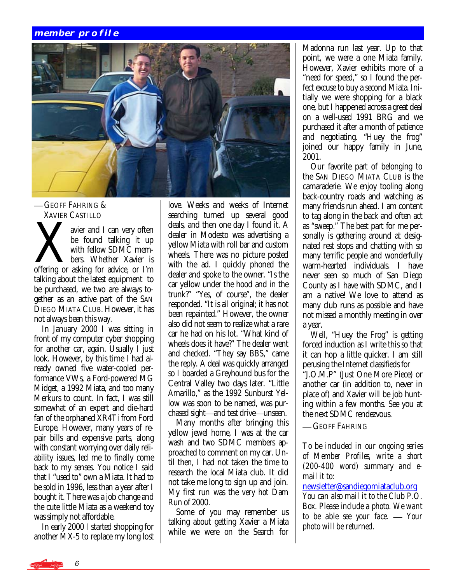#### **member profile**



-GEOFF FAHRING & XAVIER CASTILLO

We avier and I can very often be found talking it up with fellow SDMC members. Whether Xavier is offering or asking for advice, or I'm be found talking it up with fellow SDMC members. Whether Xavier is talking about the latest equipment to be purchased, we two are always together as an active part of the SAN DIEGO MIATA CLUB. However, it has not always been this way.

 In January 2000 I was sitting in front of my computer cyber shopping for another car, again. Usually I just look. However, by this time I had already owned five water-cooled performance VWs, a Ford-powered MG Midget, a 1992 Miata, and too many Merkurs to count. In fact, I was still somewhat of an expert and die-hard fan of the orphaned XR4Ti from Ford Europe. However, many years of repair bills and expensive parts, along with constant worrying over daily reliability issues, led me to finally come back to my senses. You notice I said that I "used to" own a Miata. It had to be sold in 1996, less than a year after I bought it. There was a job change and the cute little Miata as a weekend toy was simply not affordable.

 In early 2000 I started shopping for another MX-5 to replace my long lost love. Weeks and weeks of Internet searching turned up several good deals, and then one day I found it. A dealer in Modesto was advertising a yellow Miata with roll bar and custom wheels. There was no picture posted with the ad. I quickly phoned the dealer and spoke to the owner. "Is the car yellow under the hood and in the trunk?" "Yes, of course", the dealer responded. "It is all original; it has not been repainted." However, the owner also did not seem to realize what a rare car he had on his lot. "What kind of wheels does it have?" The dealer went and checked. "They say BBS," came the reply. A deal was quickly arranged so I boarded a Greyhound bus for the Central Valley two days later. "Little Amarillo," as the 1992 Sunburst Yellow was soon to be named, was purchased sight-and test drive-unseen.

 Many months after bringing this yellow jewel home, I was at the car wash and two SDMC members approached to comment on my car. Until then, I had not taken the time to research the local Miata club. It did not take me long to sign up and join. My first run was the *very hot* Dam Run of 2000.

 Some of you may remember us talking about getting Xavier a Miata while we were on the Search for

Madonna run last year. Up to that point, we were a one Miata family. However, Xavier exhibits more of a "need for speed," so I found the perfect excuse to buy a second Miata. Initially we were shopping for a black one, but I happened across a great deal on a well-used 1991 BRG and we purchased it after a month of patience and negotiating. "Huey the frog" joined our happy family in June, 2001.

 Our favorite part of belonging to the SAN DIEGO MIATA CLUB is the camaraderie. We enjoy tooling along back-country roads and watching as many friends run ahead. I am content to tag along in the back and often act as "sweep." The best part for me personally is gathering around at designated rest stops and chatting with so many terrific people and wonderfully warm-hearted individuals. I have never seen so much of San Diego County as I have with SDMC, and I am a native! We love to attend as many club runs as possible and have not missed a monthly meeting in over a year.

 Well, "Huey the Frog" is getting forced induction as I write this so that it can hop a little quicker. I am still perusing the Internet classifieds for

"J.O.M.P" (Just One More Piece) or another car (in addition to, never in place of) and Xavier will be job hunting within a few months. See you at the next SDMC rendezvous.

**- GEOFF FAHRING** 

*To be included in our ongoing series of Member Profiles, write a short (200-400 word) summary and email it to:* 

[newsletter@sandiegomiataclub.org](mailto:newsletter@sandiegomiataclub.org)

*You can also mail it to the Club P.O. Box. Please include a photo. We want to be able see your face. Your photo will be returned.*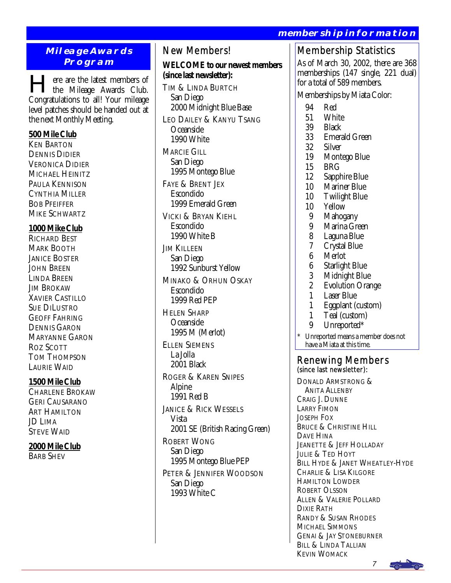# **membership information**

#### **Mileage Awards Program**

Here are the latest members of the Mileage Awards Club. Congratulations to all! Your mileage level patches should be handed out at the next Monthly Meeting.

#### **500 Mile Club**

KEN BARTON DENNIS DIDIER VERONICA DIDIER MICHAEL HEINITZ PAULA KENNISON CYNTHIA MILLER **BOB PFEIFFER** MIKE SCHWARTZ

#### **1000 Mike Club**

RICHARD BEST MARK BOOTH **JANICE BOSTER** JOHN BREEN LINDA BREEN **JIM BROKAW** XAVIER CASTILLO SUE DILUSTRO GEOFF FAHRING DENNIS GARON MARYANNE GARON ROZ SCOTT TOM THOMPSON LAURIE WAID

#### **1500 Mile Club**

CHARLENE BROKAW GERI CAUSARANO ART HAMILTON JD LIMA STEVE WAID

# **2000 Mile Club**

BARB SHEV

# New Members!

**WELCOME to our newest members (since last newsletter):** 

TIM & LINDA BURTCH San Diego 2000 Midnight Blue Base LEO DAILEY & KANYU TSANG

 Oceanside 1990 White

MARCIE GILL San Diego 1995 Montego Blue

FAYE & BRENT JEX Escondido 1999 Emerald Green

VICKI & BRYAN KIEHL Escondido 1990 White B

**JIM KILLEEN**  San Diego 1992 Sunburst Yellow

MINAKO & ORHUN OSKAY Escondido 1999 Red PEP

HELEN SHARP Oceanside 1995 M (Merlot)

ELLEN SIEMENS La Jolla 2001 Black ROGER & KAREN SNIPES

 Alpine 1991 Red B

JANICE & RICK WESSELS Vista 2001 SE (British Racing Green) ROBERT WONG

 San Diego 1995 Montego Blue PEP PETER & JENNIFER WOODSON

 San Diego 1993 White C

# Membership Statistics

As of March 30, 2002, there are 368 memberships (147 single, 221 dual) for a total of 589 members.

Memberships by Miata Color:

- 
- 94 Red<br>51 Whi 51 White
- **Black**
- 33 Emerald Green
- **Silver**
- 19 Montego Blue
- 15 BRG
- 12 Sapphire Blue<br>10 Mariner Blue
- Mariner Blue
- 10 Twilight Blue<br>10 Yellow
- **Yellow**
- 
- 9 Mahogany<br>9 Marina Gre 9 Marina Green<br>8 Laguna Blue
- 8 Laguna Blue<br>7 Crystal Blue
- 7 Crystal Blue
- 6 Merlot<br>6 Starligh
- 6 Starlight Blue
- 3 Midnight Blue<br>2 Evolution Oran
- 2 Evolution Orange<br>1 Laser Blue
- 1 Laser Blue<br>1 Foonlant (e
- 1 Eggplant (custom)<br>1 Teal (custom)
- 1 Teal (custom)<br>9 Unreported\*
- Unreported\*
- Unreported means a member does not have a Miata at this time.

# Renewing Members<br>(since last newsletter):

DONALD ARMSTRONG & ANITA ALLENBY CRAIG J. DUNNE LARRY FIMON JOSEPH FOX BRUCE & CHRISTINE HILL DAVE HINA JEANETTE & JEFF HOLLADAY JULIE & TED HOYT BILL HYDE & JANET WHEATLEY-HYDE CHARLIE & LISA KILGORE HAMILTON LOWDER ROBERT OLSSON ALLEN & VALERIE POLLARD DIXIE RATH RANDY & SUSAN RHODES MICHAEL SIMMONS GENAI & JAY STONEBURNER BILL & LINDA TALLIAN KEVIN WOMACK

7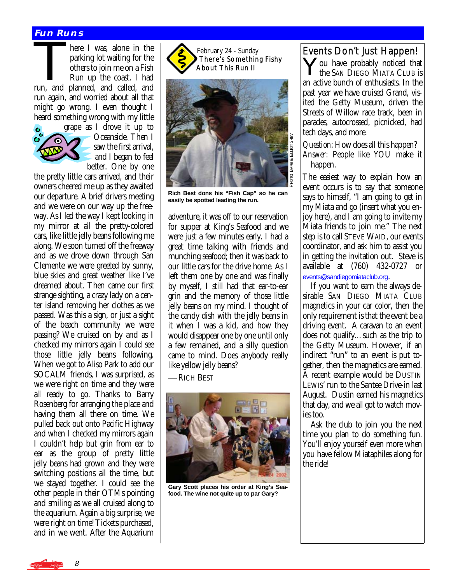#### **Fun Runs**

**FUN RUNS**<br>
here I was, alone in the<br>
parking lot waiting for the<br>
others to join me on a Fish<br>
Run un the coast. I had parking lot waiting for the others to join me on a Fish Run up the coast. I had run, and planned, and called, and run again, and worried about all that might go wrong. I even thought I heard something wrong with my little



grape as I drove it up to Oceanside. Then I saw the first arrival, and I began to feel better. One by one

the pretty little cars arrived, and their owners cheered me up as they awaited our departure. A brief drivers meeting and we were on our way up the freeway. As I led the way I kept looking in my mirror at all the pretty-colored cars, like little jelly beans following me along. We soon turned off the freeway and as we drove down through San Clemente we were greeted by sunny, blue skies and great weather like I've dreamed about. Then came our first strange sighting, a crazy lady on a center island removing her clothes as we passed. Was this a sign, or just a sight of the beach community we were passing? We cruised on by and as I checked my mirrors again I could see those little jelly beans following. When we got to Aliso Park to add our SOCALM friends, I was surprised, as we were right on time and they were all ready to go. Thanks to Barry Rosenberg for arranging the place and having them all there on time. We pulled back out onto Pacific Highway and when I checked my mirrors again I couldn't help but grin from ear to ear as the group of pretty little jelly beans had grown and they were switching positions all the time, but we stayed together. I could see the other people in their OTMs pointing and smiling as we all cruised along to the aquarium. Again a big surprise, we were right on time! Tickets purchased, and in we went. After the Aquarium

February 24 - Sunday There's Something Fishy About This Run II



**Rich Best dons his "Fish Cap" so he can easily be spotted leading the run.** 

adventure, it was off to our reservation for supper at King's Seafood and we were just a few minutes early. I had a great time talking with friends and munching seafood; then it was back to our little cars for the drive home. As I left them one by one and was finally by myself, I still had that ear-to-ear grin and the memory of those little jelly beans on my mind. I thought of the candy dish with the jelly beans in it when I was a kid, and how they would disappear one by one until only a few remained, and a silly question came to mind. Does anybody really like yellow jelly beans?

— RICH BEST



**Gary Scott places his order at King's Seafood. The wine not quite up to par Gary?** 

#### Events Don't Just Happen!

You have probably noticed that the SAN DIEGO MIATA CLUB is an active bunch of enthusiasts. In the past year we have cruised Grand, visited the Getty Museum, driven the Streets of Willow race track, been in parades, autocrossed, picnicked, had tech days, and more.

*Question:* How does all this happen? *Answer:* People like YOU make it happen.

The easiest way to explain how an event occurs is to say that someone says to himself, "I am going to get in my Miata and go (insert what you enjoy here), and I am going to invite my Miata friends to join me." The next step is to call STEVE WAID, our events coordinator, and ask him to assist you in getting the invitation out. Steve is available at (760) 432-0727 or [events@sandiegomiataclub.org](mailto:events@sandiegomiataclub.org).

 If you want to earn the always desirable SAN DIEGO MIATA CLUB magnetics in your car color, then the only requirement is that the event be a driving event. A caravan to an event does not qualify…such as the trip to the Getty Museum. However, if an indirect "run" to an event is put together, then the magnetics are earned. A recent example would be DUSTIN LEWIS' run to the Santee Drive-in last August. Dustin earned his magnetics that day, and we all got to watch movies too.

 Ask the club to join you the next time you plan to do something fun. You'll enjoy yourself even more when you have fellow Miataphiles along for the ride!

8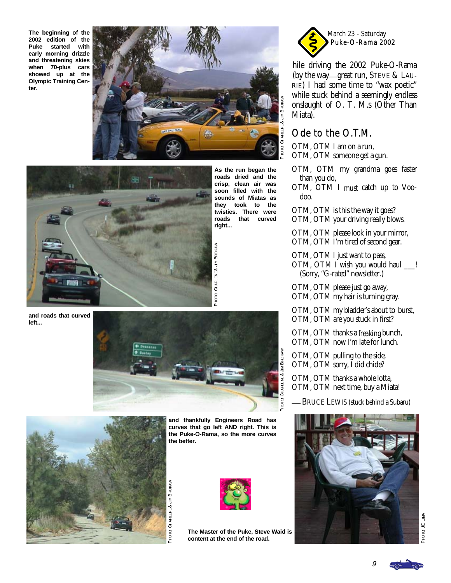**The beginning of the 2002 edition of the Puke started with early morning drizzle and threatening skies when 70-plus cars showed up at the Olympic Training Center.** 





**As the run began the roads dried and the crisp, clean air was soon filled with the sounds of Miatas as they took to the twisties. There were roads that curved right...** 

**and roads that curved left...** 



-<br>24

O. CHARLENE& JIM BROK

⋛



**and thankfully Engineers Road has curves that go left AND right. This is the Puke-O-Rama, so the more curves the better.** 

LOH

Q CHARLENE& JIM BROK

⋛



**The Master of the Puke, Steve Waid is content at the end of the road.** 



(by the way-great run, STEVE & LAUhile driving the 2002 Puke-O-Rama RIE) I had some time to "wax poetic" while stuck behind a seemingly endless onslaught of O. T. M.s (Other Than Miata).

# Ode to the O.T.M.

OTM, OTM I am on a run, OTM, OTM someone get a gun.

- OTM, OTM my grandma goes faster than you do,
- OTM, OTM I *must* catch up to Voo doo.
- OTM, OTM is this the way it goes?
- OTM, OTM your driving really blows.

OTM, OTM please look in your mirror, OTM, OTM I'm tired of second gear.

OTM, OTM I just want to pass, OTM, OTM I wish you would haul \_\_\_! (Sorry, "G-rated" newsletter.)

OTM, OTM please just go away, OTM, OTM my hair is turning gray.

OTM, OTM my bladder's about to burst, OTM, OTM are you stuck in first?

OTM, OTM thanks a *freaking* bunch, OTM, OTM now I'm late for lunch.

OTM, OTM pulling to the side, OTM, OTM sorry, I did chide?

OTM, OTM thanks a whole lotta, OTM, OTM next time, buy a Miata!

BRUCE LEWIS (stuck behind a Subaru)



**ANITION OLOHE** O JD LIMA

9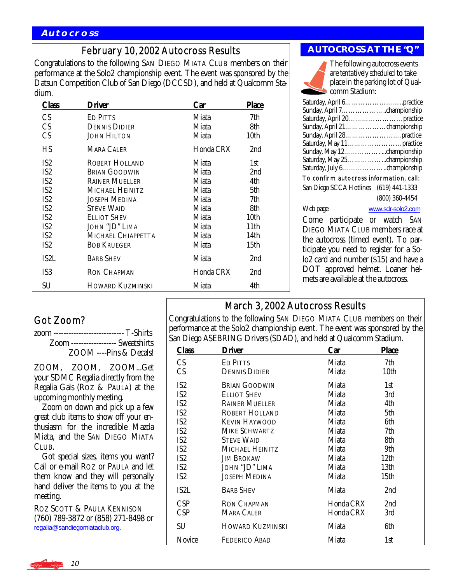# February 10, 2002 Autocross Results

Congratulations to the following SAN DIEGO MIATA CLUB members on their performance at the Solo2 championship event. The event was sponsored by the Datsun Competition Club of San Diego (DCCSD), and held at Qualcomm Stadium.

| Class             | Driver                  | Car       | <b>Place</b> |
|-------------------|-------------------------|-----------|--------------|
| CS                | ED PITTS                | Miata     | 7th          |
| CS                | <b>DENNIS DIDIER</b>    | Miata     | 8th          |
| CS                | <b>JOHN HILTON</b>      | Miata     | 10th         |
| HS                | <b>MARA CALER</b>       | Honda CRX | 2nd          |
| IS <sub>2</sub>   | <b>ROBERT HOLLAND</b>   | Miata     | 1st          |
| IS <sub>2</sub>   | <b>BRIAN GOODWIN</b>    | Miata     | 2nd          |
| IS <sub>2</sub>   | <b>RAINER MUELLER</b>   | Miata     | 4th          |
| IS <sub>2</sub>   | MICHAEL HEINITZ         | Miata     | 5th          |
| IS <sub>2</sub>   | JOSEPH MEDINA           | Miata     | 7th          |
| IS <sub>2</sub>   | <b>STEVE WAID</b>       | Miata     | 8th          |
| IS <sub>2</sub>   | ELLIOT SHEV             | Miata     | 10th         |
| IS2               | JOHN "JD" LIMA          | Miata     | 11th         |
| IS <sub>2</sub>   | MICHAEL CHIAPPETTA      | Miata     | 14th         |
| IS <sub>2</sub>   | <b>BOB KRUEGER</b>      | Miata     | 15th         |
| IS <sub>2</sub> L | <b>BARB SHEV</b>        | Miata     | 2nd          |
| IS3               | <b>RON CHAPMAN</b>      | Honda CRX | 2nd          |
| SU                | <b>HOWARD KUZMINSKI</b> | Miata     | 4th          |

#### **AUTOCROSS AT THE "Q"**



The following autocross events are *tentatively scheduled* to take place in the parking lot of Qualcomm Stadium:

| To confirm autocross information, call: |                   |  |  |  |
|-----------------------------------------|-------------------|--|--|--|
| San Diego SCCA Hotlines (619) 441-1333  |                   |  |  |  |
|                                         | $(800)$ 360-4454  |  |  |  |
| Web page                                | www.sdr-solo2.com |  |  |  |

Come participate or watch SAN DIEGO MIATA CLUB members race at the autocross (timed event). To participate you need to register for a Solo2 card and number (\$15) and have a DOT approved helmet. Loaner helmets are available at the autocross.

# Got Zoom?

| zoom ---------------------------- T-Shirts |                                     |
|--------------------------------------------|-------------------------------------|
|                                            | Zoom ------------------ Sweatshirts |
|                                            | ZOOM ----Pins & Decals!             |

ZOOM, ZOOM, ZOOM...Get your SDMC Regalia directly from the Regalia Gals (ROZ & PAULA) at the upcoming monthly meeting.

 Zoom on down and pick up a few great club items to show off your enthusiasm for the incredible Mazda Miata, and the SAN DIEGO MIATA CLUB.

 Got special sizes, items you want? Call or e-mail ROZ or PAULA and let them know and they will personally hand deliver the items to you at the meeting.

ROZ SCOTT & PAULA KENNISON (760) 789-3872 or (858) 271-8498 or [regalia@sandiegomiataclub.org.](mailto:regalia@sandiegomiataclub.org)

March 3, 2002 Autocross Results

Congratulations to the following SAN DIEGO MIATA CLUB members on their performance at the Solo2 championship event. The event was sponsored by the San Diego ASEBRING Drivers (SDAD), and held at Qualcomm Stadium.

| Class           | Driver                  | Car       | <b>Place</b> |
|-----------------|-------------------------|-----------|--------------|
| CS              | <b>ED PITTS</b>         | Miata     | 7th          |
| CS              | <b>DENNIS DIDIER</b>    | Miata     | 10th         |
| IS <sub>2</sub> | <b>BRIAN GOODWIN</b>    | Miata     | 1st          |
| IS <sub>2</sub> | <b>ELLIOT SHEV</b>      | Miata     | 3rd          |
| IS <sub>2</sub> | <b>RAINER MUELLER</b>   | Miata     | 4th          |
| IS <sub>2</sub> | ROBERT HOLLAND          | Miata     | 5th          |
| IS <sub>2</sub> | <b>KEVIN HAYWOOD</b>    | Miata     | 6th          |
| IS <sub>2</sub> | MIKE SCHWARTZ           | Miata     | 7th          |
| IS <sub>2</sub> | <b>STEVE WAID</b>       | Miata     | 8th          |
| IS <sub>2</sub> | MICHAEL HEINITZ         | Miata     | 9th          |
| IS <sub>2</sub> | <b>JIM BROKAW</b>       | Miata     | 12th         |
| IS <sub>2</sub> | JOHN "JD" LIMA          | Miata     | 13th         |
| IS <sub>2</sub> | <b>JOSEPH MEDINA</b>    | Miata     | 15th         |
| IS2L            | <b>BARB SHEV</b>        | Miata     | 2nd          |
| <b>CSP</b>      | <b>RON CHAPMAN</b>      | Honda CRX | 2nd          |
| <b>CSP</b>      | <b>MARA CALER</b>       | Honda CRX | 3rd          |
| SU              | <b>HOWARD KUZMINSKI</b> | Miata     | 6th          |
| Novice          | <b>FEDERICO ABAD</b>    | Miata     | 1st          |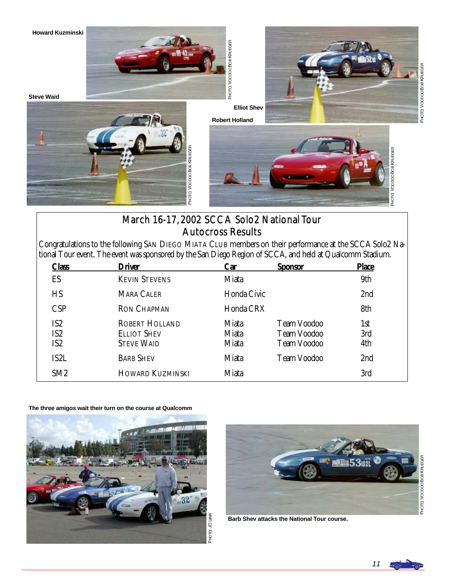

**Howard Kuzminski** 





**Robert Holland** 







# March 16-17, 2002 SCCA Solo2 National Tour Autocross Results

Congratulations to the following SAN DIEGO MIATA CLUB members on their performance at the SCCA Solo2 National Tour event. The event was sponsored by the San Diego Region of SCCA, and held at Qualcomm Stadium.

| <b>Class</b>                                          | Driver                                                           | Car                                   | <b>Sponsor</b>                                                 | <b>Place</b>      |
|-------------------------------------------------------|------------------------------------------------------------------|---------------------------------------|----------------------------------------------------------------|-------------------|
| ES                                                    | <b>KEVIN STEVENS</b>                                             | Miata                                 |                                                                | 9th               |
| HS                                                    | <b>MARA CALER</b>                                                | Honda Civic                           |                                                                | 2 <sub>nd</sub>   |
| <b>CSP</b>                                            | <b>RON CHAPMAN</b>                                               | Honda CRX                             |                                                                | 8th               |
| IS <sub>2</sub><br>IS <sub>2</sub><br>IS <sub>2</sub> | <b>ROBERT HOLLAND</b><br><b>ELLIOT SHEV</b><br><b>STEVE WAID</b> | Miata<br><b>Miata</b><br><b>Miata</b> | <b>Team Voodoo</b><br><b>Team Voodoo</b><br><b>Team Voodoo</b> | 1st<br>3rd<br>4th |
| IS2L                                                  | <b>BARB SHEV</b>                                                 | Miata                                 | <b>Team Voodoo</b>                                             | 2 <sub>nd</sub>   |
| SM <sub>2</sub>                                       | <b>HOWARD KUZMINSKI</b>                                          | Miata                                 |                                                                | 3rd               |

**The three amigos wait their turn on the course at Qualcomm** 





**Barb Shev attacks the National Tour course.** 

PHOTO VOODOOBOBKRUEGER o VoopooBoBKRUEGER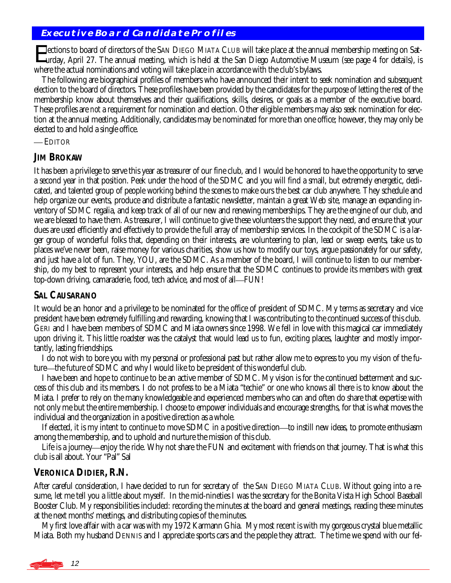#### **Executive Board Candidate Profiles**

Elections to board of directors of the SAN DIEGO MIATA CLUB will take place at the annual membership meeting on Saturday, April 27. The annual meeting, which is held at the San Diego Automotive Museum (see page 4 for details), is where the actual nominations and voting will take place in accordance with the club's bylaws.

 The following are biographical profiles of members who have announced their intent to seek nomination and subsequent election to the board of directors. These profiles have been provided by the candidates for the purpose of letting the rest of the membership know about themselves and their qualifications, skills, desires, or goals as a member of the executive board. These profiles are *not* a requirement for nomination and election. Other eligible members may also seek nomination for election at the annual meeting. Additionally, candidates may be nominated for more than one office; however, they may only be elected to and hold a single office.

— EDITOR

#### **JIM BROKAW**

It has been a privilege to serve this year as treasurer of our fine club, and I would be honored to have the opportunity to serve a second year in that position. Peek under the hood of the SDMC and you will find a small, but extremely energetic, dedicated, and talented group of people working behind the scenes to make ours the best car club anywhere. They schedule and help organize our events, produce and distribute a fantastic newsletter, maintain a great Web site, manage an expanding inventory of SDMC regalia, and keep track of all of our new and renewing memberships. They are the engine of our club, and we are blessed to have them. As treasurer, I will continue to give these volunteers the support they need, and ensure that your dues are used efficiently and effectively to provide the full array of membership services. In the cockpit of the SDMC is a larger group of wonderful folks that, depending on their interests, are volunteering to plan, lead or sweep events, take us to places we've never been, raise money for various charities, show us how to modify our toys, argue passionately for our safety, and just have a lot of fun. They, YOU, are the SDMC. As a member of the board, I will continue to listen to our membership, do my best to represent your interests, and help ensure that the SDMC continues to provide its members with great top-down driving, camaraderie, food, tech advice, and most of all-FUN!

#### **SAL CAUSARANO**

It would be an honor and a privilege to be nominated for the office of president of SDMC. My terms as secretary and vice president have been extremely fulfilling and rewarding, knowing that I was contributing to the continued success of this club. GERI and I have been members of SDMC and Miata owners since 1998. We fell in love with this magical car immediately upon driving it. This little roadster was the catalyst that would lead us to fun, exciting places, laughter and mostly importantly, lasting friendships.

 I do not wish to bore you with my personal or professional past but rather allow me to express to you my vision of the future—the future of SDMC and why I would like to be president of this wonderful club.

 I have been and hope to continue to be an active member of SDMC. My vision is for the continued betterment and success of this club and its members. I do not profess to be a Miata "techie" or one who knows all there is to know about the Miata. I prefer to rely on the many knowledgeable and experienced members who can and often do share that expertise with not only me but the entire membership. I choose to empower individuals and encourage strengths, for that is what moves the individual and the organization in a positive direction as a whole.

If elected, it is my intent to continue to move SDMC in a positive direction—to instill new ideas, to promote enthusiasm among the membership, and to uphold and nurture the mission of this club.

Life is a journey—enjoy the ride. Why not share the FUN and excitement with friends on that journey. That is what this club is all about. Your "Pal" Sal

#### **VERONICA DIDIER, R.N.**

After careful consideration, I have decided to run for secretary of the SAN DIEGO MIATA CLUB. Without going into a resume, let me tell you a little about myself. In the mid-nineties I was the secretary for the Bonita Vista High School Baseball Booster Club. My responsibilities included: recording the minutes at the board and general meetings, reading these minutes at the next months' meetings, and distributing copies of the minutes.

 My first love affair with a car was with my 1972 Karmann Ghia. My most recent is with my gorgeous crystal blue metallic Miata. Both my husband DENNIS and I appreciate sports cars and the people they attract. The time we spend with our fel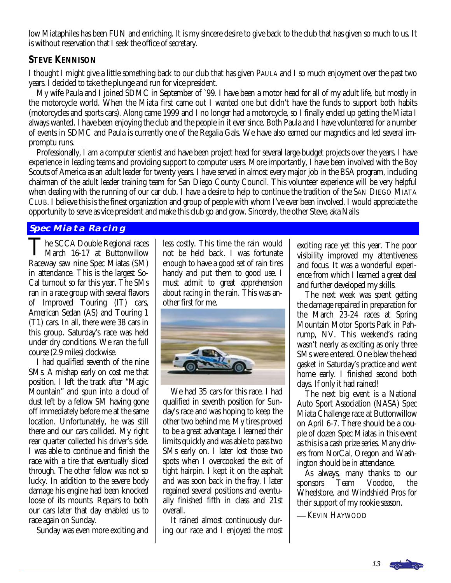low Miataphiles has been FUN and enriching. It is my sincere desire to give back to the club that has given so much to us. It is without reservation that I seek the office of secretary.

#### **STEVE KENNISON**

I thought I might give a little something back to our club that has given PAULA and I so much enjoyment over the past two years. I decided to take the plunge and run for vice president.

 My wife Paula and I joined SDMC in September of `99. I have been a motor head for all of my adult life, but mostly in the motorcycle world. When the Miata first came out I wanted one but didn't have the funds to support both habits (motorcycles and sports cars). Along came 1999 and I no longer had a motorcycle, so I finally ended up getting the Miata I always wanted. I have been enjoying the club and the people in it ever since. Both Paula and I have volunteered for a number of events in SDMC and Paula is currently one of the Regalia Gals. We have also earned our magnetics and led several impromptu runs.

 Professionally, I am a computer scientist and have been project head for several large-budget projects over the years. I have experience in leading teams and providing support to computer users. More importantly, I have been involved with the Boy Scouts of America as an adult leader for twenty years. I have served in almost every major job in the BSA program, including chairman of the adult leader training team for San Diego County Council. This volunteer experience will be very helpful when dealing with the running of our car club. I have a desire to help to continue the tradition of the SAN DIEGO MIATA CLUB. I believe this is the finest organization and group of people with whom I've ever been involved. I would appreciate the opportunity to serve as vice president and make this club go and grow. Sincerely, the other Steve, aka Nails

#### **Spec Miata Racing**

The SCCA Double Regional races<br>March 16-17 at Buttonwillow Raceway saw nine Spec Miatas (SM) in attendance. This is the largest So-Cal turnout so far this year. The SMs ran in a race group with several flavors of Improved Touring (IT) cars, American Sedan (AS) and Touring 1 (T1) cars. In all, there were 38 cars in this group. Saturday's race was held under dry conditions. We ran the full course (2.9 miles) clockwise.

 I had qualified seventh of the nine SMs. A mishap early on cost me that position. I left the track after "Magic Mountain" and spun into a cloud of dust left by a fellow SM having gone off immediately before me at the same location. Unfortunately, he was still there and our cars collided. My right rear quarter collected his driver's side. I was able to continue and finish the race with a tire that eventually sliced through. The other fellow was not so lucky. In addition to the severe body damage his engine had been knocked loose of its mounts. Repairs to both our cars later that day enabled us to race again on Sunday.

Sunday was even more exciting and

less costly. This time the rain would not be held back. I was fortunate enough to have a good set of rain tires handy and put them to good use. I must admit to great apprehension about racing in the rain. This was another first for me.



 We had 35 cars for this race. I had qualified in seventh position for Sunday's race and was hoping to keep the other two behind me. My tires proved to be a great advantage. I learned their limits quickly and was able to pass two SMs early on. I later lost those two spots when I overcooked the exit of tight hairpin. I kept it on the asphalt and was soon back in the fray. I later regained several positions and eventually finished fifth in class and 21st overall.

 It rained almost continuously during our race and I enjoyed the most

exciting race yet this year. The poor visibility improved my attentiveness and focus. It was a wonderful experience from which I learned a great deal and further developed my skills.

 The next week was spent getting the damage repaired in preparation for the March 23-24 races at Spring Mountain Motor Sports Park in Pahrump, NV. This weekend's racing wasn't nearly as exciting as only three SMs were entered. One blew the head gasket in Saturday's practice and went home early. I finished second both days. If only it had rained!

 The next big event is a National Auto Sport Association (NASA) Spec Miata Challenge race at Buttonwillow on April 6-7. There should be a couple of dozen Spec Miatas in this event as this is a cash prize series. Many drivers from NorCal, Oregon and Washington should be in attendance.

 As always, many thanks to our sponsors Team Voodoo, the Wheelstore, and Windshield Pros for their support of my rookie season.

— KEVIN HAYWOOD

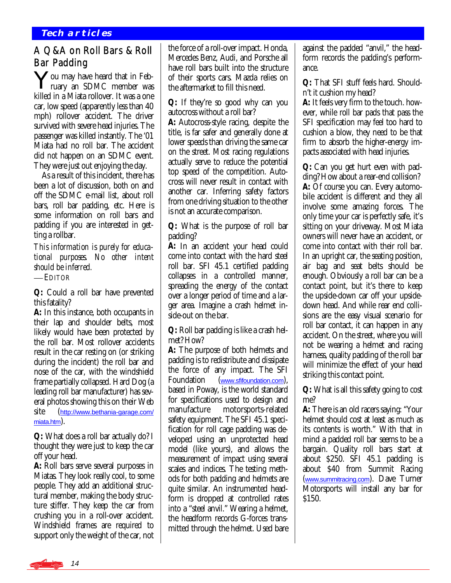#### **Tech articles**

### A Q&A on Roll Bars & Roll Bar Padding

You may have heard that in Feb-I ruary an SDMC member was killed in a Miata rollover. It was a one car, low speed (apparently less than 40 mph) rollover accident. The driver survived with severe head injuries. The passenger was killed instantly. The '01 Miata had no roll bar. The accident did *not* happen on an SDMC event. They were just out enjoying the day.

 As a result of this incident, there has been a lot of discussion, both on and off the SDMC e-mail list, about roll bars, roll bar padding, etc. Here is some information on roll bars and padding if you are interested in getting a rollbar.

*This information is purely for educational purposes. No other intent should be inferred.* 

 *EDITOR*

**Q:** Could a roll bar have prevented this fatality?

**A:** In this instance, both occupants in their lap and shoulder belts, most likely would have been protected by the roll bar. Most rollover accidents result in the car resting on (or striking during the incident) the roll bar and nose of the car, with the windshield frame partially collapsed. Hard Dog (a leading roll bar manufacturer) has several photos showing this on their Web site ([http://www.bethania-garage.com/](http://www.bethania-garage.com/miata.htm) [miata.htm](http://www.bethania-garage.com/miata.htm)).

**Q:** What does a roll bar actually do? I thought they were just to keep the car off your head.

**A:** Roll bars serve several purposes in Miatas. They look really cool, to some people. They add an additional structural member, making the body structure stiffer. They keep the car from crushing you in a roll-over accident. Windshield frames are required to support only the weight of the car, not

the force of a roll-over impact. Honda, Mercedes Benz, Audi, and Porsche all have roll bars built into the structure of their sports cars. Mazda relies on the aftermarket to fill this need.

**Q:** If they're so good why can you autocross without a roll bar?

**A:** Autocross-style racing, despite the title, is far safer and generally done at lower speeds than driving the same car on the street. Most racing regulations actually serve to reduce the potential top speed of the competition. Autocross will never result in contact with another car. Inferring safety factors from one driving situation to the other is not an accurate comparison.

**Q:** What is the purpose of roll bar padding?

**A:** In an accident your head could come into contact with the hard steel roll bar. SFI 45.1 certified padding collapses in a controlled manner, spreading the energy of the contact over a longer period of time and a larger area. Imagine a crash helmet inside-out on the bar.

**Q:** Roll bar padding is like a crash helmet? How?

**A:** The purpose of both helmets and padding is to redistribute and dissipate the force of any impact. The SFI Foundation ([www.sfifoundation.com](http://www.sfifoundation.com)), based in Poway, is the world standard for specifications used to design and manufacture motorsports-related safety equipment. The SFI 45.1 specification for roll cage padding was developed using an unprotected head model (like yours), and allows the measurement of impact using several scales and indices. The testing methods for both padding and helmets are quite similar. An instrumented headform is dropped at controlled rates into a "steel anvil." Wearing a helmet, the headform records G-forces transmitted through the helmet. Used bare against the padded "anvil," the headform records the padding's performance.

**Q:** That SFI stuff feels hard. Shouldn't it cushion my head?

**A:** It feels very firm to the touch. however, while roll bar pads that pass the SFI specification may feel too hard to cushion a blow, they need to be that firm to absorb the higher-energy impacts associated with head injuries.

**Q:** Can you get hurt even with padding? How about a rear-end collision? **A:** Of course you can. Every automobile accident is different and they all involve some amazing forces. The only time your car is perfectly safe, it's sitting on your driveway. Most Miata owners will never have an accident, or come into contact with their roll bar. In an upright car, the seating position, air bag and seat belts should be enough. Obviously a roll bar can be a contact point, but it's there to keep the upside-down car off your upsidedown head. And while rear end collisions are the easy visual scenario for roll bar contact, it can happen in any accident. On the street, where you will not be wearing a helmet and racing harness, quality padding of the roll bar will minimize the effect of your head striking this contact point.

**Q:** What is all this safety going to cost me?

**A:** There is an old racers saying: "Your helmet should cost at least as much as its contents is worth." With that in mind a padded roll bar seems to be a bargain. Quality roll bars start at about \$250. SFI 45.1 padding is about \$40 from Summit Racing ([www.summitracing.com](http://www.summitracing.com)). Dave Turner Motorsports will install any bar for \$150.

14 ര<sup>ക</sup>ക്